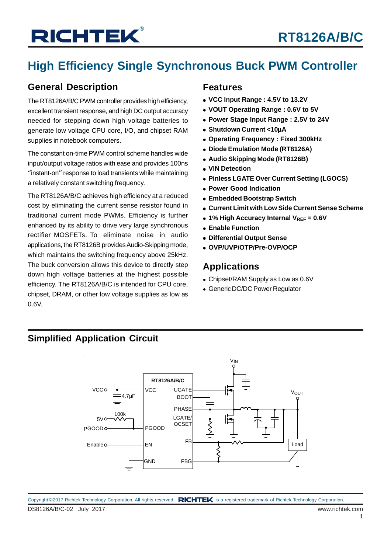## **High Efficiency Single Synchronous Buck PWM Controller**

### **General Description**

The RT8126A/B/C PWM controller provides high efficiency, excellent transient response, and high DC output accuracy needed for stepping down high voltage batteries to generate low voltage CPU core, I/O, and chipset RAM supplies in notebook computers.

The constant on-time PWM control scheme handles wide input/output voltage ratios with ease and provides 100ns "instant-on" response to load transients while maintaining a relatively constant switching frequency.

The RT8126A/B/C achieves high efficiency at a reduced cost by eliminating the current sense resistor found in traditional current mode PWMs. Efficiency is further enhanced by its ability to drive very large synchronous rectifier MOSFETs. To eliminate noise in audio applications, the RT8126B provides Audio-Skipping mode, which maintains the switching frequency above 25kHz. The buck conversion allows this device to directly step down high voltage batteries at the highest possible efficiency. The RT8126A/B/C is intended for CPU core, chipset, DRAM, or other low voltage supplies as low as 0.6V.

#### **Features**

- **VCC Input Range : 4.5V to 13.2V**
- **VOUT Operating Range : 0.6V to 5V**
- **Power Stage Input Range : 2.5V to 24V**
- **Shutdown Current <10**μ**A**
- **Operating Frequency : Fixed 300kHz**
- **Diode Emulation Mode (RT8126A)**
- **Audio Skipping Mode (RT8126B)**
- **VIN Detection**
- **Pinless LGATE Over Current Setting (LGOCS)**
- **Power Good Indication**
- **Embedded Bootstrap Switch**
- **Current Limit with Low Side Current Sense Scheme**
- **1% High Accuracy Internal VREF = 0.6V**
- **Enable Function**
- **Differential Output Sense**
- **OVP/UVP/OTP/Pre-OVP/OCP**

### **Applications**

- Chipset/RAM Supply as Low as 0.6V
- Generic DC/DC Power Regulator

### **Simplified Application Circuit**

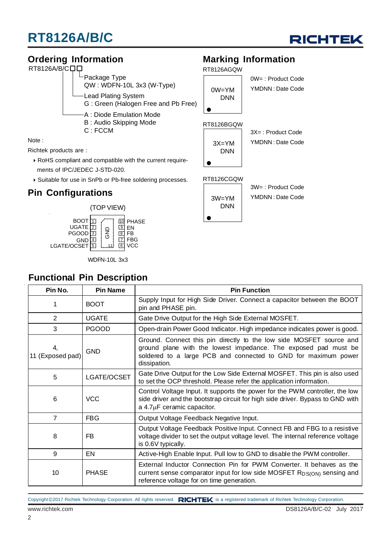

#### **Ordering Information** Note : Richtek products are : RoHS compliant and compatible with the current require ments of IPC/JEDEC J-STD-020. Suitable for use in SnPb or Pb-free soldering processes. RT8126A/B/COO  $^{\mathsf{L}}$ Package Type QW : WDFN-10L 3x3 (W-Type) Lead Plating System G : Green (Halogen Free and Pb Free) A : Diode Emulation Mode B : Audio Skipping Mode C : FCCM **Marking Information** 0W= : Product Code YMDNN : Date Code 3X= : Product Code YMDNN : Date Code 3W= : Product Code YMDNN : Date Code RT8126AGQW RT8126BGQW RT8126CGQW **Pin Configurations** (TOP VIEW) BOOT UGATE 10 PHASE EN 9 1 2 GND 0W=YM DNN  $3X=YM$ DNN 3W=YM DNN

WDFN-10L 3x3

11

FB **VCC** FBG 7

8

6

### **Functional Pin Description**

GND 4

3 5

PGOOD

LGATE/OCSET

| Pin No.                | <b>Pin Name</b> | <b>Pin Function</b>                                                                                                                                                                                                      |
|------------------------|-----------------|--------------------------------------------------------------------------------------------------------------------------------------------------------------------------------------------------------------------------|
| 1                      | <b>BOOT</b>     | Supply Input for High Side Driver. Connect a capacitor between the BOOT<br>pin and PHASE pin.                                                                                                                            |
| $\overline{2}$         | <b>UGATE</b>    | Gate Drive Output for the High Side External MOSFET.                                                                                                                                                                     |
| 3                      | <b>PGOOD</b>    | Open-drain Power Good Indicator. High impedance indicates power is good.                                                                                                                                                 |
| 4,<br>11 (Exposed pad) | <b>GND</b>      | Ground. Connect this pin directly to the low side MOSFET source and<br>ground plane with the lowest impedance. The exposed pad must be<br>soldered to a large PCB and connected to GND for maximum power<br>dissipation. |
| 5                      | LGATE/OCSET     | Gate Drive Output for the Low Side External MOSFET. This pin is also used<br>to set the OCP threshold. Please refer the application information.                                                                         |
| 6                      | <b>VCC</b>      | Control Voltage Input. It supports the power for the PWM controller, the low<br>side driver and the bootstrap circuit for high side driver. Bypass to GND with<br>a 4.7µF ceramic capacitor.                             |
| $\overline{7}$         | <b>FBG</b>      | Output Voltage Feedback Negative Input.                                                                                                                                                                                  |
| 8                      | FB              | Output Voltage Feedback Positive Input. Connect FB and FBG to a resistive<br>voltage divider to set the output voltage level. The internal reference voltage<br>is 0.6V typically.                                       |
| 9                      | EN              | Active-High Enable Input. Pull low to GND to disable the PWM controller.                                                                                                                                                 |
| 10                     | <b>PHASE</b>    | External Inductor Connection Pin for PWM Converter. It behaves as the<br>current sense comparator input for low side MOSFET R <sub>DS(ON)</sub> sensing and<br>reference voltage for on time generation.                 |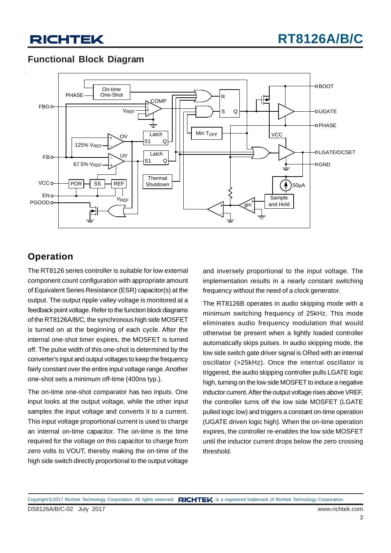### **Functional Block Diagram**



### **Operation**

The RT8126 series controller is suitable for low external component count configuration with appropriate amount of Equivalent Series Resistance (ESR) capacitor(s) at the output. The output ripple valley voltage is monitored at a feedback point voltage. Refer to the function block diagrams of the RT8126A/B/C, the synchronous high side MOSFET is turned on at the beginning of each cycle. After the internal one-shot timer expires, the MOSFET is turned off. The pulse width of this one-shot is determined by the converter's input and output voltages to keep the frequency fairly constant over the entire input voltage range. Another one-shot sets a minimum off-time (400ns typ.).

The on-time one-shot comparator has two inputs. One input looks at the output voltage, while the other input samples the input voltage and converts it to a current. This input voltage proportional current is used to charge an internal on-time capacitor. The on-time is the time required for the voltage on this capacitor to charge from zero volts to VOUT, thereby making the on-time of the high side switch directly proportional to the output voltage

and inversely proportional to the input voltage. The implementation results in a nearly constant switching frequency without the need of a clock generator.

The RT8126B operates in audio skipping mode with a minimum switching frequency of 25kHz. This mode eliminates audio frequency modulation that would otherwise be present when a lightly loaded controller automatically skips pulses. In audio skipping mode, the low side switch gate driver signal is ORed with an internal oscillator (>25kHz). Once the internal oscillator is triggered, the audio skipping controller pulls LGATE logic high, turning on the low side MOSFET to induce a negative inductor current. After the output voltage rises above VREF, the controller turns off the low side MOSFET (LGATE pulled logic low) and triggers a constant on-time operation (UGATE driven logic high). When the on-time operation expires, the controller re-enables the low side MOSFET until the inductor current drops below the zero crossing threshold.

DS8126A/B/C-02 July 2017 www.richtek.com Copyright ©2017 Richtek Technology Corporation. All rights reserved. RICHTEK is a registered trademark of Richtek Technology Corporation.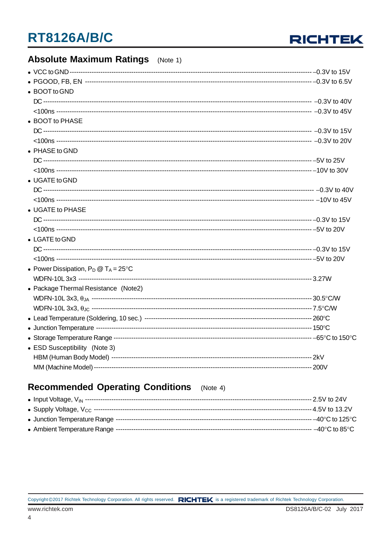

### **Absolute Maximum Ratings** (Note 1)

| • BOOT to GND                                  |  |
|------------------------------------------------|--|
|                                                |  |
|                                                |  |
| • BOOT to PHASE                                |  |
|                                                |  |
|                                                |  |
| • PHASE to GND                                 |  |
|                                                |  |
|                                                |  |
| • UGATE to GND                                 |  |
|                                                |  |
|                                                |  |
| • UGATE to PHASE                               |  |
|                                                |  |
|                                                |  |
| • LGATE to GND                                 |  |
|                                                |  |
|                                                |  |
| • Power Dissipation, $P_D @ T_A = 25^{\circ}C$ |  |
|                                                |  |
| • Package Thermal Resistance (Note2)           |  |
|                                                |  |
|                                                |  |
|                                                |  |
|                                                |  |
|                                                |  |
|                                                |  |
| • ESD Susceptibility (Note 3)                  |  |
|                                                |  |
|                                                |  |

#### **Recommended Operating Conditions**  $(Note 4)$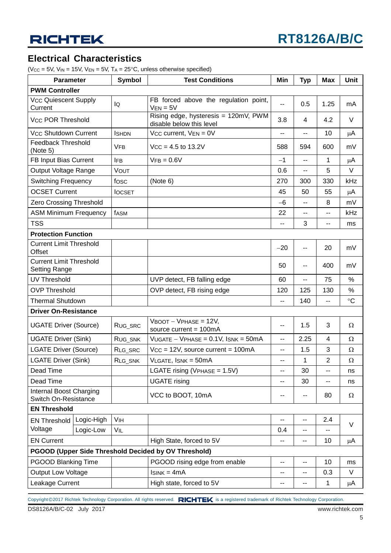### **Electrical Characteristics**

( $V_{CC}$  = 5V,  $V_{IN}$  = 15V,  $V_{EN}$  = 5V,  $T_A$  = 25°C, unless otherwise specified)

|                                                        | <b>Symbol</b><br><b>Test Conditions</b><br><b>Parameter</b> |                       | Min                                                              | <b>Typ</b>               | <b>Max</b>     | <b>Unit</b>              |                 |  |
|--------------------------------------------------------|-------------------------------------------------------------|-----------------------|------------------------------------------------------------------|--------------------------|----------------|--------------------------|-----------------|--|
| <b>PWM Controller</b>                                  |                                                             |                       |                                                                  |                          |                |                          |                 |  |
| <b>Vcc Quiescent Supply</b><br>Current                 |                                                             | lQ                    | FB forced above the regulation point,<br>$V_{EN} = 5V$           | н.                       | 0.5            | 1.25                     | mA              |  |
| <b>Vcc POR Threshold</b>                               |                                                             |                       | Rising edge, hysteresis = 120mV, PWM<br>disable below this level |                          | 4              | 4.2                      | V               |  |
| <b>Vcc Shutdown Current</b>                            |                                                             | <b>ISHDN</b>          | Vcc current, $VEN = 0V$                                          |                          | --             | 10                       | μA              |  |
| <b>Feedback Threshold</b><br>(Note 5)                  |                                                             | <b>VFB</b>            | $Vcc = 4.5$ to 13.2V                                             |                          | 594            | 600                      | mV              |  |
| FB Input Bias Current                                  |                                                             | <b>IFB</b>            | $VFB = 0.6V$                                                     |                          | $\overline{a}$ | $\mathbf{1}$             | $\mu$ A         |  |
| Output Voltage Range                                   |                                                             | VOUT                  |                                                                  |                          | --             | 5                        | V               |  |
| <b>Switching Frequency</b>                             |                                                             | fosc                  | (Note 6)                                                         |                          | 300            | 330                      | kHz             |  |
| <b>OCSET Current</b>                                   |                                                             | <b>IOCSET</b>         |                                                                  |                          | 50             | 55                       | $\mu$ A         |  |
| Zero Crossing Threshold                                |                                                             |                       |                                                                  | $-6$                     | --             | 8                        | mV              |  |
| <b>ASM Minimum Frequency</b>                           |                                                             | fasm                  |                                                                  |                          | --             | $\overline{\phantom{a}}$ | kHz             |  |
| <b>TSS</b>                                             |                                                             |                       |                                                                  |                          | 3              | $\overline{\phantom{a}}$ | ms              |  |
| <b>Protection Function</b>                             |                                                             |                       |                                                                  |                          |                |                          |                 |  |
| <b>Current Limit Threshold</b><br>Offset               |                                                             |                       |                                                                  | $-20$                    | --             | 20                       | mV              |  |
| <b>Current Limit Threshold</b><br><b>Setting Range</b> |                                                             |                       |                                                                  |                          | ۰.             | 400                      | mV              |  |
| <b>UV Threshold</b>                                    |                                                             |                       | UVP detect, FB falling edge                                      |                          | --             | 75                       | $\%$            |  |
| <b>OVP Threshold</b>                                   |                                                             |                       | OVP detect, FB rising edge                                       |                          | 125            | 130                      | %               |  |
| <b>Thermal Shutdown</b>                                |                                                             |                       |                                                                  | $\sim$                   | 140            | $\overline{a}$           | $\rm ^{\circ}C$ |  |
| <b>Driver On-Resistance</b>                            |                                                             |                       |                                                                  |                          |                |                          |                 |  |
| <b>UGATE Driver (Source)</b>                           |                                                             | RUG_SRC               | $V$ BOOT - $V$ PHASE = 12V,<br>source current = 100mA            |                          | 1.5            | 3                        | Ω               |  |
| <b>UGATE Driver (Sink)</b>                             |                                                             | RUG_SNK               | $VUGATE - VPHASE = 0.1V$ , $ISNK = 50mA$                         |                          | 2.25           | 4                        | Ω               |  |
| <b>LGATE Driver (Source)</b>                           |                                                             | RLG_SRC               | $V_{CC} = 12V$ , source current = 100mA                          |                          | 1.5            | 3                        | $\Omega$        |  |
| <b>LGATE Driver (Sink)</b>                             |                                                             | RLG_SNK               | VLGATE, ISNK = 50mA                                              |                          | 1              | $\overline{2}$           | Ω               |  |
| Dead Time                                              |                                                             |                       | LGATE rising ( $V$ PHASE = 1.5V)                                 | --                       | 30             | $\sim$                   | ns              |  |
| Dead Time                                              |                                                             |                       | <b>UGATE</b> rising                                              |                          | 30             |                          | ns              |  |
| Internal Boost Charging<br>Switch On-Resistance        |                                                             |                       | VCC to BOOT, 10mA                                                | --                       | --             | 80                       | Ω               |  |
| <b>EN Threshold</b>                                    |                                                             |                       |                                                                  |                          |                |                          |                 |  |
| <b>EN Threshold</b>                                    | Logic-High                                                  | <b>V<sub>IH</sub></b> |                                                                  | $\overline{\phantom{a}}$ | --             | 2.4                      |                 |  |
| Voltage                                                | Logic-Low                                                   | VIL                   |                                                                  | 0.4                      | --             |                          | $\vee$          |  |
| <b>EN Current</b>                                      |                                                             |                       | High State, forced to 5V                                         | --                       | --             | 10                       | μA              |  |
| PGOOD (Upper Side Threshold Decided by OV Threshold)   |                                                             |                       |                                                                  |                          |                |                          |                 |  |
| <b>PGOOD Blanking Time</b>                             |                                                             |                       | PGOOD rising edge from enable                                    | $\overline{\phantom{a}}$ | --             | 10                       | ms              |  |
| <b>Output Low Voltage</b>                              |                                                             |                       | $IsINK = 4mA$                                                    | ٠.                       | --             | 0.3                      | V               |  |
| Leakage Current                                        |                                                             |                       | High state, forced to 5V                                         | --                       | --             | $\mathbf 1$              | μA              |  |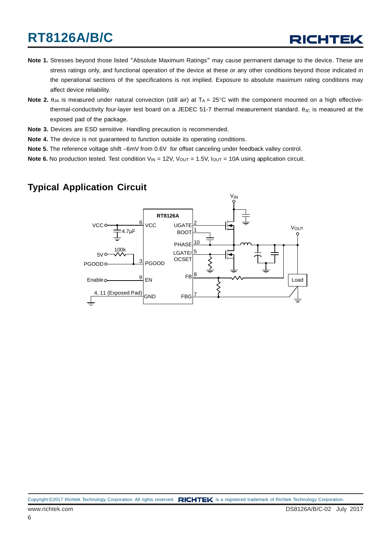- **Note 1.** Stresses beyond those listed "Absolute Maximum Ratings" may cause permanent damage to the device. These are stress ratings only, and functional operation of the device at these or any other conditions beyond those indicated in the operational sections of the specifications is not implied. Exposure to absolute maximum rating conditions may affect device reliability.
- **Note 2.**  $\theta_{JA}$  is measured under natural convection (still air) at  $T_A = 25^\circ$ C with the component mounted on a high effectivethermal-conductivity four-layer test board on a JEDEC 51-7 thermal measurement standard.  $\theta_{\text{JC}}$  is measured at the exposed pad of the package.
- **Note 3.** Devices are ESD sensitive. Handling precaution is recommended.
- **Note 4.** The device is not guaranteed to function outside its operating conditions.
- **Note 5.** The reference voltage shift −6mV from 0.6V for offset canceling under feedback valley control.
- **Note 6.** No production tested. Test condition  $V_{IN} = 12V$ ,  $V_{OUT} = 1.5V$ ,  $I_{OUT} = 10A$  using application circuit.

### **Typical Application Circuit**

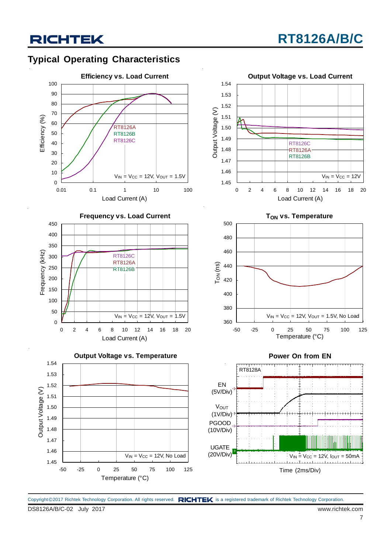### **Typical Operating Characteristics**











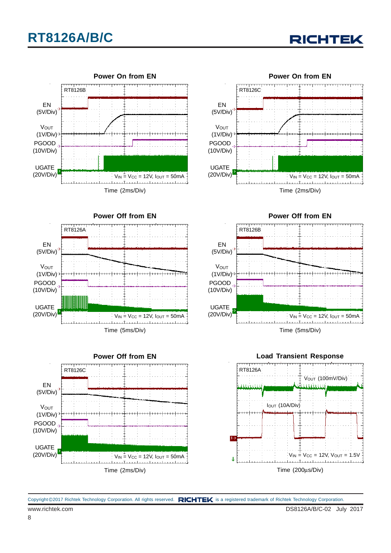











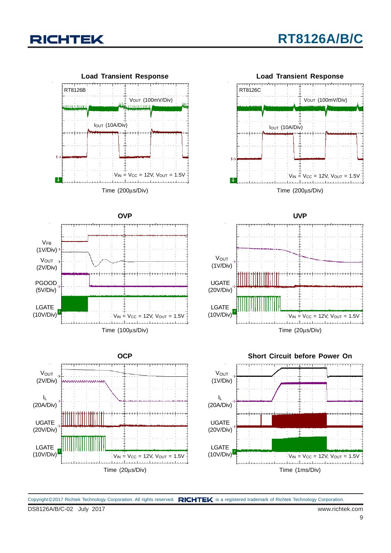



DS8126A/B/C-02 July 2017 www.richtek.com Copyright @2017 Richtek Technology Corporation. All rights reserved. RICHTEK is a registered trademark of Richtek Technology Corporation.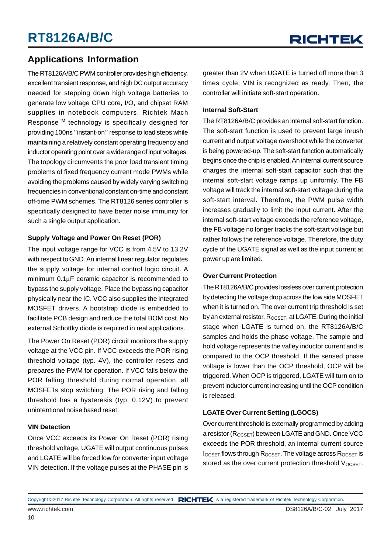### **Applications Information**

The RT8126A/B/C PWM controller provides high efficiency, excellent transient response, and high DC output accuracy needed for stepping down high voltage batteries to generate low voltage CPU core, I/O, and chipset RAM supplies in notebook computers. Richtek Mach ResponseTM technology is specifically designed for providing 100ns "instant-on" response to load steps while maintaining a relatively constant operating frequency and inductor operating point over a wide range of input voltages. The topology circumvents the poor load transient timing problems of fixed frequency current mode PWMs while avoiding the problems caused by widely varying switching frequencies in conventional constant on-time and constant off-time PWM schemes. The RT8126 series controller is specifically designed to have better noise immunity for such a single output application.

#### **Supply Voltage and Power On Reset (POR)**

The input voltage range for VCC is from 4.5V to 13.2V with respect to GND. An internal linear regulator regulates the supply voltage for internal control logic circuit. A minimum 0.1μF ceramic capacitor is recommended to bypass the supply voltage. Place the bypassing capacitor physically near the IC. VCC also supplies the integrated MOSFET drivers. A bootstrap diode is embedded to facilitate PCB design and reduce the total BOM cost. No external Schottky diode is required in real applications.

The Power On Reset (POR) circuit monitors the supply voltage at the VCC pin. If VCC exceeds the POR rising threshold voltage (typ. 4V), the controller resets and prepares the PWM for operation. If VCC falls below the POR falling threshold during normal operation, all MOSFETs stop switching. The POR rising and falling threshold has a hysteresis (typ. 0.12V) to prevent unintentional noise based reset.

#### **VIN Detection**

Once VCC exceeds its Power On Reset (POR) rising threshold voltage, UGATE will output continuous pulses and LGATE will be forced low for converter input voltage VIN detection. If the voltage pulses at the PHASE pin is greater than 2V when UGATE is turned off more than 3 times cycle, VIN is recognized as ready. Then, the controller will initiate soft-start operation.

#### **Internal Soft-Start**

The RT8126A/B/C provides an internal soft-start function. The soft-start function is used to prevent large inrush current and output voltage overshoot while the converter is being powered-up. The soft-start function automatically begins once the chip is enabled. An internal current source charges the internal soft-start capacitor such that the internal soft-start voltage ramps up uniformly. The FB voltage will track the internal soft-start voltage during the soft-start interval. Therefore, the PWM pulse width increases gradually to limit the input current. After the internal soft-start voltage exceeds the reference voltage, the FB voltage no longer tracks the soft-start voltage but rather follows the reference voltage. Therefore, the duty cycle of the UGATE signal as well as the input current at power up are limited.

#### **Over Current Protection**

The RT8126A/B/C provides lossless over current protection by detecting the voltage drop across the low side MOSFET when it is turned on. The over current trip threshold is set by an external resistor,  $R_{OCSET}$ , at LGATE. During the initial stage when LGATE is turned on, the RT8126A/B/C samples and holds the phase voltage. The sample and hold voltage represents the valley inductor current and is compared to the OCP threshold. If the sensed phase voltage is lower than the OCP threshold, OCP will be triggered. When OCP is triggered, LGATE will turn on to prevent inductor current increasing until the OCP condition is released.

#### **LGATE Over Current Setting (LGOCS)**

Over current threshold is externally programmed by adding a resistor (R<sub>OCSET</sub>) between LGATE and GND. Once VCC exceeds the POR threshold, an internal current source  $I_{OCSET}$  flows through  $R_{OCSET}$ . The voltage across  $R_{OCSET}$  is stored as the over current protection threshold  $V_{OCSET}$ .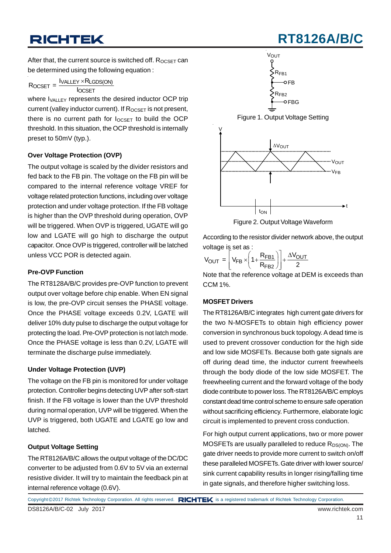**RT8126A/B** 

After that, the current source is switched off.  $R_{OCSET}$  can be determined using the following equation :

$$
R_{OCSET} = \frac{I_{VALLEY} \times R_{LGDS(ON)}}{I_{OCSET}}
$$

where  $I_{VAI \rightharpoonup Y}$  represents the desired inductor OCP trip current (valley inductor current). If  $R_{OCSET}$  is not present, there is no current path for  $I_{OCSFT}$  to build the OCP threshold. In this situation, the OCP threshold is internally preset to 50mV (typ.).

#### **Over Voltage Protection (OVP)**

The output voltage is scaled by the divider resistors and fed back to the FB pin. The voltage on the FB pin will be compared to the internal reference voltage VREF for voltage related protection functions, including over voltage protection and under voltage protection. If the FB voltage is higher than the OVP threshold during operation, OVP will be triggered. When OVP is triggered, UGATE will go low and LGATE will go high to discharge the output capacitor. Once OVP is triggered, controller will be latched unless VCC POR is detected again.

#### **Pre-OVP Function**

The RT8128A/B/C provides pre-OVP function to prevent output over voltage before chip enable. When EN signal is low, the pre-OVP circuit senses the PHASE voltage. Once the PHASE voltage exceeds 0.2V, LGATE will deliver 10% duty pulse to discharge the output voltage for protecting the load. Pre-OVP protection is not latch mode. Once the PHASE voltage is less than 0.2V, LGATE will terminate the discharge pulse immediately.

#### **Under Voltage Protection (UVP)**

The voltage on the FB pin is monitored for under voltage protection. Controller begins detecting UVP after soft-start finish. If the FB voltage is lower than the UVP threshold during normal operation, UVP will be triggered. When the UVP is triggered, both UGATE and LGATE go low and latched.

#### **Output Voltage Setting**

The RT8126A/B/C allows the output voltage of the DC/DC converter to be adjusted from 0.6V to 5V via an external resistive divider. It will try to maintain the feedback pin at internal reference voltage (0.6V).



According to the resistor divider network above, the output voltage is set as :

$$
V_{OUT} = \left[ V_{FB} \times \left( 1 + \frac{R_{FB1}}{R_{FB2}} \right) \right] + \frac{\Delta V_{OUT}}{2}
$$

Note that the reference voltage at DEM is exceeds than CCM 1%.

#### **MOSFET Drivers**

The RT8126A/B/C integrates high current gate drivers for the two N-MOSFETs to obtain high efficiency power conversion in synchronous buck topology. A dead time is used to prevent crossover conduction for the high side and low side MOSFETs. Because both gate signals are off during dead time, the inductor current freewheels through the body diode of the low side MOSFET. The freewheeling current and the forward voltage of the body diode contribute to power loss. The RT8126A/B/C employs constant dead time control scheme to ensure safe operation without sacrificing efficiency. Furthermore, elaborate logic circuit is implemented to prevent cross conduction.

For high output current applications, two or more power MOSFETs are usually paralleled to reduce  $R_{DS(ON)}$ . The gate driver needs to provide more current to switch on/off these paralleled MOSFETs. Gate driver with lower source/ sink current capability results in longer rising/falling time in gate signals, and therefore higher switching loss.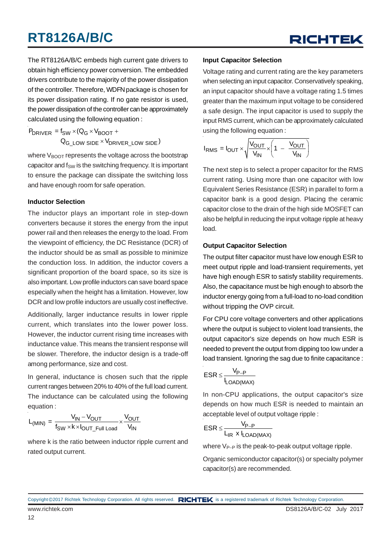## RICHTEK

The RT8126A/B/C embeds high current gate drivers to obtain high efficiency power conversion. The embedded drivers contribute to the majority of the power dissipation of the controller. Therefore, WDFN package is chosen for its power dissipation rating. If no gate resistor is used, the power dissipation of the controller can be approximately calculated using the following equation :

 $P_{DRIVER} = f_{SW} \times (Q_G \times V_{BOOT} +$  $\mathsf{Q}_{\mathsf{G\_LOW}}$  side  $^{\times}$   $\mathsf{V}_{\mathsf{DRIVER\_LOW}}$  side  $^{\circ}$ 

where V<sub>BOOT</sub> represents the voltage across the bootstrap capacitor and  $f_{SW}$  is the switching frequency. It is important to ensure the package can dissipate the switching loss and have enough room for safe operation.

#### **Inductor Selection**

The inductor plays an important role in step-down converters because it stores the energy from the input power rail and then releases the energy to the load. From the viewpoint of efficiency, the DC Resistance (DCR) of the inductor should be as small as possible to minimize the conduction loss. In addition, the inductor covers a significant proportion of the board space, so its size is also important. Low profile inductors can save board space especially when the height has a limitation. However, low DCR and low profile inductors are usually cost ineffective.

Additionally, larger inductance results in lower ripple current, which translates into the lower power loss. However, the inductor current rising time increases with inductance value. This means the transient response will be slower. Therefore, the inductor design is a trade-off among performance, size and cost.

In general, inductance is chosen such that the ripple current ranges between 20% to 40% of the full load current. The inductance can be calculated using the following equation :

$$
L_{(MIN)} = \frac{V_{IN} - V_{OUT}}{f_{SW} \times k \times I_{OUT\_Full\ Load}} \times \frac{V_{OUT}}{V_{IN}}
$$

where k is the ratio between inductor ripple current and rated output current.

#### **Input Capacitor Selection**

Voltage rating and current rating are the key parameters when selecting an input capacitor. Conservatively speaking, an input capacitor should have a voltage rating 1.5 times greater than the maximum input voltage to be considered a safe design. The input capacitor is used to supply the input RMS current, which can be approximately calculated using the following equation :

$$
I_{RMS} = I_{OUT} \times \sqrt{\frac{V_{OUT}}{V_{IN}}} \times \left(1 - \frac{V_{OUT}}{V_{IN}}\right)
$$

The next step is to select a proper capacitor for the RMS current rating. Using more than one capacitor with low Equivalent Series Resistance (ESR) in parallel to form a capacitor bank is a good design. Placing the ceramic capacitor close to the drain of the high side MOSFET can also be helpful in reducing the input voltage ripple at heavy load.

#### **Output Capacitor Selection**

The output filter capacitor must have low enough ESR to meet output ripple and load-transient requirements, yet have high enough ESR to satisfy stability requirements. Also, the capacitance must be high enough to absorb the inductor energy going from a full-load to no-load condition without tripping the OVP circuit.

For CPU core voltage converters and other applications where the output is subject to violent load transients, the output capacitor's size depends on how much ESR is needed to prevent the output from dipping too low under a load transient. Ignoring the sag due to finite capacitance :

$$
ESR \leq \frac{V_{P-P}}{I_{LOAD(MAX)}}
$$

In non-CPU applications, the output capacitor's size depends on how much ESR is needed to maintain an acceptable level of output voltage ripple :

$$
ESR \leq \frac{V_{P-P}}{L_{IR} \ x \ l_{LOAD(MAX)}}
$$

where V<sub>P−P</sub> is the peak-to-peak output voltage ripple.

Organic semiconductor capacitor(s) or specialty polymer capacitor(s) are recommended.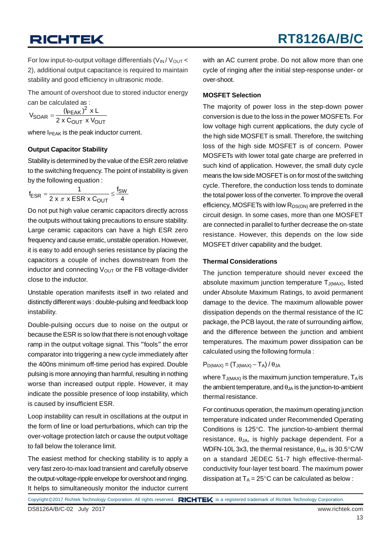For low input-to-output voltage differentials  $(V_{\text{IN}}/V_{\text{OUT}} <$ 2), additional output capacitance is required to maintain stability and good efficiency in ultrasonic mode.

The amount of overshoot due to stored inductor energy can be calculated as :

$$
V_{\text{SOAR}} = \frac{(\mathsf{I}_{\text{PEAK}})^2 \times \mathsf{L}}{2 \times \mathsf{C}_{\text{OUT}} \times \mathsf{V}_{\text{OUT}}}
$$

where  $I_{PEAK}$  is the peak inductor current.

#### **Output Capacitor Stability**

Stability is determined by the value of the ESR zero relative to the switching frequency. The point of instability is given by the following equation :

$$
f_{ESR} = \frac{1}{2 \times \pi \times ESR \times C_{OUT}} \le \frac{f_{SW}}{4}
$$

Do not put high value ceramic capacitors directly across the outputs without taking precautions to ensure stability. Large ceramic capacitors can have a high ESR zero frequency and cause erratic, unstable operation. However, it is easy to add enough series resistance by placing the capacitors a couple of inches downstream from the inductor and connecting  $V_{\text{OUT}}$  or the FB voltage-divider close to the inductor.

Unstable operation manifests itself in two related and distinctly different ways : double-pulsing and feedback loop instability.

Double-pulsing occurs due to noise on the output or because the ESR is so low that there is not enough voltage ramp in the output voltage signal. This "fools" the error comparator into triggering a new cycle immediately after the 400ns minimum off-time period has expired. Double pulsing is more annoying than harmful, resulting in nothing worse than increased output ripple. However, it may indicate the possible presence of loop instability, which is caused by insufficient ESR.

Loop instability can result in oscillations at the output in the form of line or load perturbations, which can trip the over-voltage protection latch or cause the output voltage to fall below the tolerance limit.

The easiest method for checking stability is to apply a very fast zero-to-max load transient and carefully observe the output-voltage-ripple envelope for overshoot and ringing. It helps to simultaneously monitor the inductor current with an AC current probe. Do not allow more than one cycle of ringing after the initial step-response under- or over-shoot.

#### **MOSFET Selection**

The majority of power loss in the step-down power conversion is due to the loss in the power MOSFETs. For low voltage high current applications, the duty cycle of the high side MOSFET is small. Therefore, the switching loss of the high side MOSFET is of concern. Power MOSFETs with lower total gate charge are preferred in such kind of application. However, the small duty cycle means the low side MOSFET is on for most of the switching cycle. Therefore, the conduction loss tends to dominate the total power loss of the converter. To improve the overall efficiency, MOSFETs with low  $R_{DS(ON)}$  are preferred in the circuit design. In some cases, more than one MOSFET are connected in parallel to further decrease the on-state resistance. However, this depends on the low side MOSFET driver capability and the budget.

#### **Thermal Considerations**

The junction temperature should never exceed the absolute maximum junction temperature  $T_{J(MAX)}$ , listed under Absolute Maximum Ratings, to avoid permanent damage to the device. The maximum allowable power dissipation depends on the thermal resistance of the IC package, the PCB layout, the rate of surrounding airflow, and the difference between the junction and ambient temperatures. The maximum power dissipation can be calculated using the following formula :

 $P_{D(MAX)} = (T_{J(MAX)} - T_A) / \theta_{JA}$ 

where  $T_{J(MAX)}$  is the maximum junction temperature,  $T_A$  is the ambient temperature, and  $\theta_{JA}$  is the junction-to-ambient thermal resistance.

For continuous operation, the maximum operating junction temperature indicated under Recommended Operating Conditions is 125°C. The junction-to-ambient thermal resistance,  $θ<sub>JA</sub>$ , is highly package dependent. For a WDFN-10L 3x3, the thermal resistance,  $\theta_{JA}$ , is 30.5°C/W on a standard JEDEC 51-7 high effective-thermalconductivity four-layer test board. The maximum power dissipation at  $T_A = 25^{\circ}$ C can be calculated as below :

Copyright ©2017 Richtek Technology Corporation. All rights reserved. RICHTEK is a registered trademark of Richtek Technology Corporation.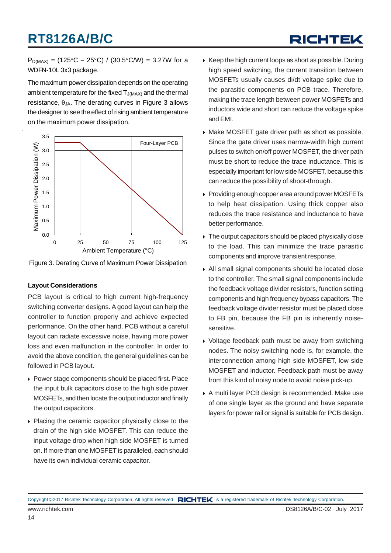## RICHTEK

 $P_{D(MAX)} = (125^{\circ}C - 25^{\circ}C) / (30.5^{\circ}C/W) = 3.27W$  for a WDFN-10L 3x3 package.

The maximum power dissipation depends on the operating ambient temperature for the fixed  $T_{J(MAX)}$  and the thermal resistance,  $θ_{JA}$ . The derating curves in Figure 3 allows the designer to see the effect of rising ambient temperature on the maximum power dissipation.



Figure 3. Derating Curve of Maximum Power Dissipation

#### **Layout Considerations**

PCB layout is critical to high current high-frequency switching converter designs. A good layout can help the controller to function properly and achieve expected performance. On the other hand, PCB without a careful layout can radiate excessive noise, having more power loss and even malfunction in the controller. In order to avoid the above condition, the general guidelines can be followed in PCB layout.

- ▶ Power stage components should be placed first. Place the input bulk capacitors close to the high side power MOSFETs, and then locate the output inductor and finally the output capacitors.
- ▶ Placing the ceramic capacitor physically close to the drain of the high side MOSFET. This can reduce the input voltage drop when high side MOSFET is turned on. If more than one MOSFET is paralleled, each should have its own individual ceramic capacitor.
- $\triangleright$  Keep the high current loops as short as possible. During high speed switching, the current transition between MOSFETs usually causes di/dt voltage spike due to the parasitic components on PCB trace. Therefore, making the trace length between power MOSFETs and inductors wide and short can reduce the voltage spike and EMI.
- Make MOSFET gate driver path as short as possible. Since the gate driver uses narrow-width high current pulses to switch on/off power MOSFET, the driver path must be short to reduce the trace inductance. This is especially important for low side MOSFET, because this can reduce the possibility of shoot-through.
- Providing enough copper area around power MOSFETs to help heat dissipation. Using thick copper also reduces the trace resistance and inductance to have better performance.
- $\triangleright$  The output capacitors should be placed physically close to the load. This can minimize the trace parasitic components and improve transient response.
- All small signal components should be located close to the controller. The small signal components include the feedback voltage divider resistors, function setting components and high frequency bypass capacitors. The feedback voltage divider resistor must be placed close to FB pin, because the FB pin is inherently noisesensitive.
- Voltage feedback path must be away from switching nodes. The noisy switching node is, for example, the interconnection among high side MOSFET, low side MOSFET and inductor. Feedback path must be away from this kind of noisy node to avoid noise pick-up.
- A multi layer PCB design is recommended. Make use of one single layer as the ground and have separate layers for power rail or signal is suitable for PCB design.